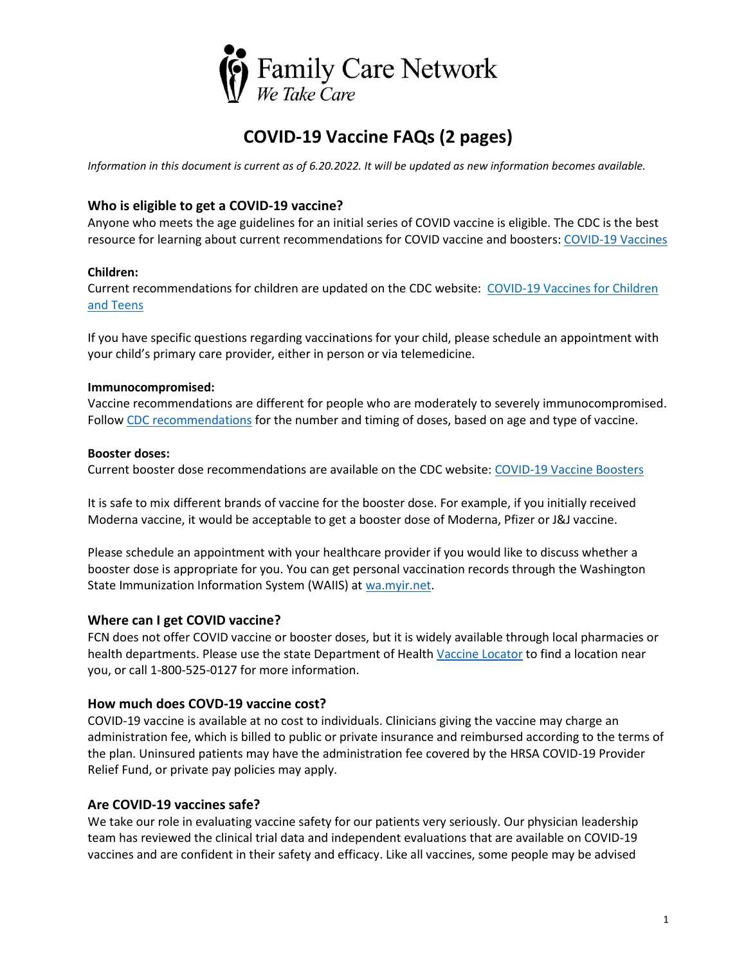

# **COVID-19 Vaccine FAQs (2 pages)**

*Information in this document is current as of 6.20.2022. It will be updated as new information becomes available.* 

### **Who is eligible to get a COVID-19 vaccine?**

Anyone who meets the age guidelines for an initial series of COVID vaccine is eligible. The CDC is the best resource for learning about current recommendations for COVID vaccine and boosters: [COVID-19 Vaccines](https://www.cdc.gov/coronavirus/2019-ncov/vaccines/index.html)

#### **Children:**

Current recommendations for children are updated on the CDC website: [COVID-19](https://www.cdc.gov/coronavirus/2019-ncov/vaccines/recommendations/children-teens.html) Vaccines for Children and [Teens](https://www.cdc.gov/coronavirus/2019-ncov/vaccines/recommendations/children-teens.html)

If you have specific questions regarding vaccinations for your child, please schedule an appointment with your child's primary care provider, either in person or via telemedicine.

#### **Immunocompromised:**

Vaccine recommendations are different for people who are moderately to severely immunocompromised. Follow [CDC recommendations](https://www.cdc.gov/coronavirus/2019-ncov/vaccines/recommendations/immuno.html) for the number and timing of doses, based on age and type of vaccine.

#### **Booster doses:**

Current booster dose recommendations are available on the CDC website: [COVID-19 Vaccine Boosters](https://www.cdc.gov/coronavirus/2019-ncov/vaccines/booster-shot.html)

It is safe to mix different brands of vaccine for the booster dose. For example, if you initially received Moderna vaccine, it would be acceptable to get a booster dose of Moderna, Pfizer or J&J vaccine.

Please schedule an appointment with your healthcare provider if you would like to discuss whether a booster dose is appropriate for you. You can get personal vaccination records through the Washington State Immunization Information System (WAIIS) at [wa.myir.net.](https://wa.myir.net/rorl?next=/)

#### **Where can I get COVID vaccine?**

FCN does not offer COVID vaccine or booster doses, but it is widely available through local pharmacies or health departments. Please use the state Department of Health [Vaccine Locator](https://vaccinelocator.doh.wa.gov/) to find a location near you, or call 1-800-525-0127 for more information.

#### **How much does COVD-19 vaccine cost?**

COVID-19 vaccine is available at no cost to individuals. Clinicians giving the vaccine may charge an administration fee, which is billed to public or private insurance and reimbursed according to the terms of the plan. Uninsured patients may have the administration fee covered by the HRSA COVID-19 Provider Relief Fund, or private pay policies may apply.

#### **Are COVID-19 vaccines safe?**

We take our role in evaluating vaccine safety for our patients very seriously. Our physician leadership team has reviewed the clinical trial data and independent evaluations that are available on COVID-19 vaccines and are confident in their safety and efficacy. Like all vaccines, some people may be advised